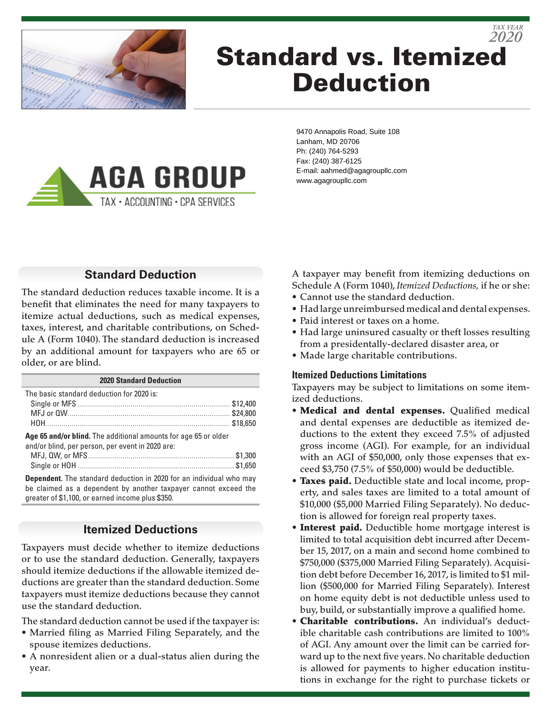

# Standard vs. Itemized Deduction *2020*



9470 Annapolis Road, Suite 108 Lanham, MD 20706 Ph: (240) 764-5293 Fax: (240) 387-6125 E-mail: aahmed@agagroupllc.com www.agagroupllc.com

## **Standard Deduction**

The standard deduction reduces taxable income. It is a benefit that eliminates the need for many taxpayers to itemize actual deductions, such as medical expenses, taxes, interest, and charitable contributions, on Schedule A (Form 1040). The standard deduction is increased by an additional amount for taxpayers who are 65 or older, or are blind.

| <b>2020 Standard Deduction</b>                                                                                                                                                                    |  |  |
|---------------------------------------------------------------------------------------------------------------------------------------------------------------------------------------------------|--|--|
| The basic standard deduction for 2020 is:                                                                                                                                                         |  |  |
|                                                                                                                                                                                                   |  |  |
|                                                                                                                                                                                                   |  |  |
|                                                                                                                                                                                                   |  |  |
| Age 65 and/or blind. The additional amounts for age 65 or older<br>and/or blind, per person, per event in 2020 are:                                                                               |  |  |
|                                                                                                                                                                                                   |  |  |
|                                                                                                                                                                                                   |  |  |
| <b>Dependent.</b> The standard deduction in 2020 for an individual who may<br>be claimed as a dependent by another taxpayer cannot exceed the<br>greater of \$1,100, or earned income plus \$350. |  |  |

## **Itemized Deductions**

Taxpayers must decide whether to itemize deductions or to use the standard deduction. Generally, taxpayers should itemize deductions if the allowable itemized deductions are greater than the standard deduction. Some taxpayers must itemize deductions because they cannot use the standard deduction.

The standard deduction cannot be used if the taxpayer is:

- Married filing as Married Filing Separately, and the spouse itemizes deductions.
- A nonresident alien or a dual-status alien during the year.

A taxpayer may benefit from itemizing deductions on Schedule A (Form 1040), *Itemized Deductions,* if he or she:

*TAX YEAR*

- Cannot use the standard deduction.
- Had large unreimbursed medical and dental expenses.
- Paid interest or taxes on a home.
- Had large uninsured casualty or theft losses resulting from a presidentally-declared disaster area, or
- Made large charitable contributions.

### **Itemized Deductions Limitations**

Taxpayers may be subject to limitations on some itemized deductions.

- Medical and dental expenses. Qualified medical and dental expenses are deductible as itemized deductions to the extent they exceed 7.5% of adjusted gross income (AGI). For example, for an individual with an AGI of \$50,000, only those expenses that exceed \$3,750 (7.5% of \$50,000) would be deductible.
- Taxes paid. Deductible state and local income, property, and sales taxes are limited to a total amount of \$10,000 (\$5,000 Married Filing Separately). No deduction is allowed for foreign real property taxes.
- Interest paid. Deductible home mortgage interest is limited to total acquisition debt incurred after December 15, 2017, on a main and second home combined to \$750,000 (\$375,000 Married Filing Separately). Acquisition debt before December 16, 2017, is limited to \$1 million (\$500,000 for Married Filing Separately). Interest on home equity debt is not deductible unless used to buy, build, or substantially improve a qualified home.
- Charitable contributions. An individual's deductible charitable cash contributions are limited to 100% of AGI. Any amount over the limit can be carried forward up to the next five years. No charitable deduction is allowed for payments to higher education institutions in exchange for the right to purchase tickets or